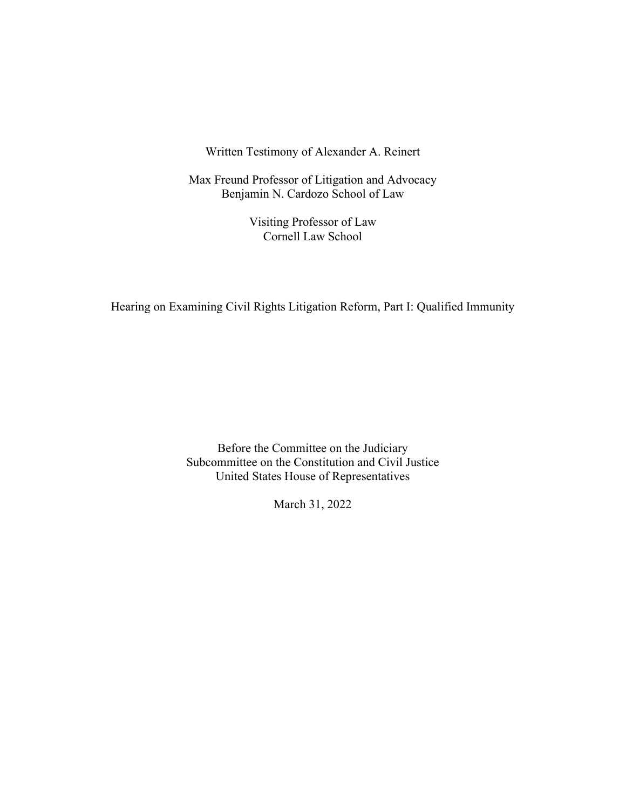Written Testimony of Alexander A. Reinert

Max Freund Professor of Litigation and Advocacy Benjamin N. Cardozo School of Law

> Visiting Professor of Law Cornell Law School

Hearing on Examining Civil Rights Litigation Reform, Part I: Qualified Immunity

Before the Committee on the Judiciary Subcommittee on the Constitution and Civil Justice United States House of Representatives

March 31, 2022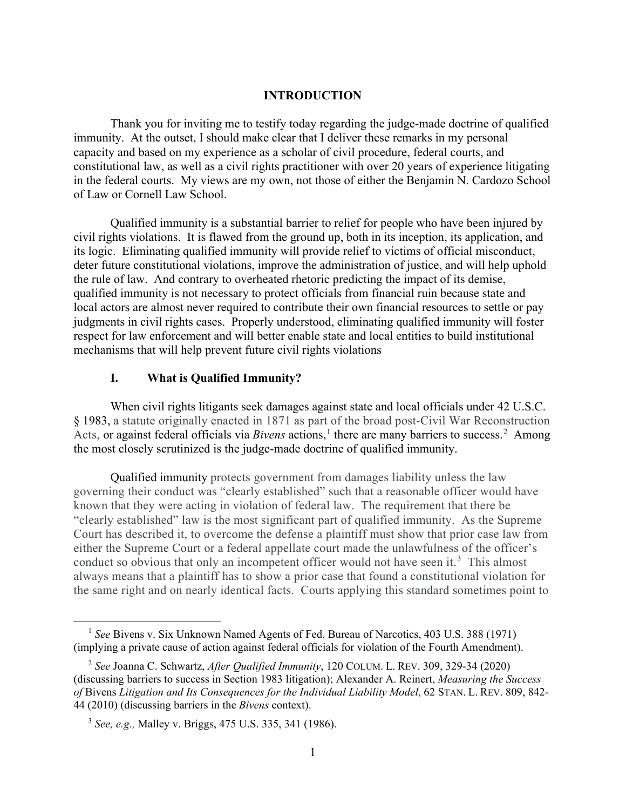### **INTRODUCTION**

Thank you for inviting me to testify today regarding the judge-made doctrine of qualified immunity. At the outset, I should make clear that I deliver these remarks in my personal capacity and based on my experience as a scholar of civil procedure, federal courts, and constitutional law, as well as a civil rights practitioner with over 20 years of experience litigating in the federal courts. My views are my own, not those of either the Benjamin N. Cardozo School of Law or Cornell Law School.

Qualified immunity is a substantial barrier to relief for people who have been injured by civil rights violations. It is flawed from the ground up, both in its inception, its application, and its logic. Eliminating qualified immunity will provide relief to victims of official misconduct, deter future constitutional violations, improve the administration of justice, and will help uphold the rule of law. And contrary to overheated rhetoric predicting the impact of its demise, qualified immunity is not necessary to protect officials from financial ruin because state and local actors are almost never required to contribute their own financial resources to settle or pay judgments in civil rights cases. Properly understood, eliminating qualified immunity will foster respect for law enforcement and will better enable state and local entities to build institutional mechanisms that will help prevent future civil rights violations

# **I. What is Qualified Immunity?**

When civil rights litigants seek damages against state and local officials under 42 U.S.C. § 1983, a statute originally enacted in 1871 as part of the broad post-Civil War Reconstruction Acts, or against federal officials via *Bivens* actions,<sup>[1](#page-1-0)</sup> there are many barriers to success.<sup>[2](#page-1-1)</sup> Among the most closely scrutinized is the judge-made doctrine of qualified immunity.

Qualified immunity protects government from damages liability unless the law governing their conduct was "clearly established" such that a reasonable officer would have known that they were acting in violation of federal law. The requirement that there be "clearly established" law is the most significant part of qualified immunity. As the Supreme Court has described it, to overcome the defense a plaintiff must show that prior case law from either the Supreme Court or a federal appellate court made the unlawfulness of the officer's conduct so obvious that only an incompetent officer would not have seen it.<sup>[3](#page-1-2)</sup> This almost always means that a plaintiff has to show a prior case that found a constitutional violation for the same right and on nearly identical facts. Courts applying this standard sometimes point to

<span id="page-1-0"></span><sup>1</sup> *See* Bivens v. Six Unknown Named Agents of Fed. Bureau of Narcotics, 403 U.S. 388 (1971) (implying a private cause of action against federal officials for violation of the Fourth Amendment).

<span id="page-1-1"></span><sup>2</sup> *See* Joanna C. Schwartz, *After Qualified Immunity*, 120 COLUM. L. REV. 309, 329-34 (2020) (discussing barriers to success in Section 1983 litigation); Alexander A. Reinert, *Measuring the Success of* Bivens *Litigation and Its Consequences for the Individual Liability Model*, 62 STAN. L. REV. 809, 842- 44 (2010) (discussing barriers in the *Bivens* context).

<span id="page-1-2"></span><sup>3</sup> *See, e.g.,* Malley v. Briggs, 475 U.S. 335, 341 (1986).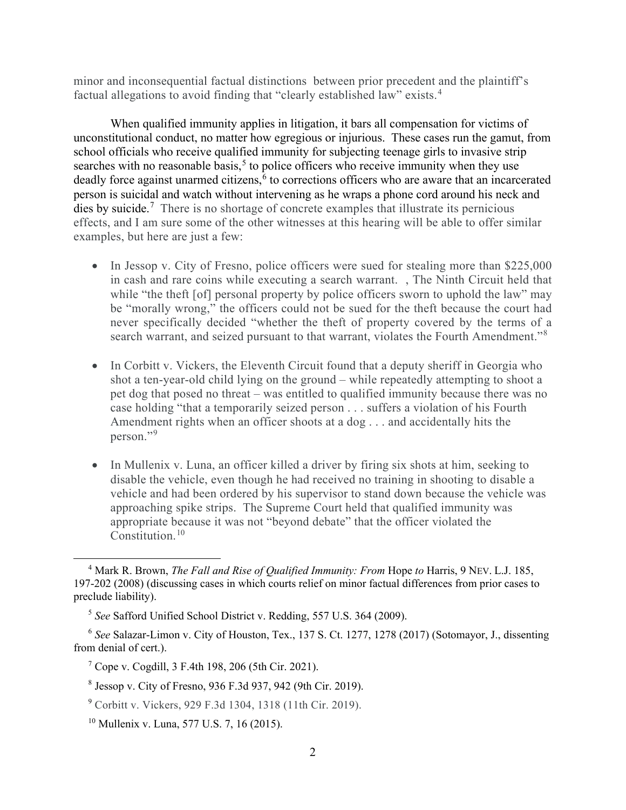minor and inconsequential factual distinctions between prior precedent and the plaintiff's factual allegations to avoid finding that "clearly established law" exists.<sup>[4](#page-2-0)</sup>

When qualified immunity applies in litigation, it bars all compensation for victims of unconstitutional conduct, no matter how egregious or injurious. These cases run the gamut, from school officials who receive qualified immunity for subjecting teenage girls to invasive strip searches with no reasonable basis,<sup>[5](#page-2-1)</sup> to police officers who receive immunity when they use deadly force against unarmed citizens,<sup>[6](#page-2-2)</sup> to corrections officers who are aware that an incarcerated person is suicidal and watch without intervening as he wraps a phone cord around his neck and dies by suicide.<sup>[7](#page-2-3)</sup> There is no shortage of concrete examples that illustrate its pernicious effects, and I am sure some of the other witnesses at this hearing will be able to offer similar examples, but here are just a few:

- In Jessop v. City of Fresno, police officers were sued for stealing more than \$225,000 in cash and rare coins while executing a search warrant. , The Ninth Circuit held that while "the theft [of] personal property by police officers sworn to uphold the law" may be "morally wrong," the officers could not be sued for the theft because the court had never specifically decided "whether the theft of property covered by the terms of a search warrant, and seized pursuant to that warrant, violates the Fourth Amendment."<sup>[8](#page-2-4)</sup>
- In Corbitt v. Vickers, the Eleventh Circuit found that a deputy sheriff in Georgia who shot a ten-year-old child lying on the ground – while repeatedly attempting to shoot a pet dog that posed no threat – was entitled to qualified immunity because there was no case holding "that a temporarily seized person . . . suffers a violation of his Fourth Amendment rights when an officer shoots at a dog . . . and accidentally hits the person."[9](#page-2-5)
- In Mullenix v. Luna, an officer killed a driver by firing six shots at him, seeking to disable the vehicle, even though he had received no training in shooting to disable a vehicle and had been ordered by his supervisor to stand down because the vehicle was approaching spike strips. The Supreme Court held that qualified immunity was appropriate because it was not "beyond debate" that the officer violated the Constitution.<sup>[10](#page-2-6)</sup>

<span id="page-2-0"></span><sup>4</sup> Mark R. Brown, *The Fall and Rise of Qualified Immunity: From* Hope *to* Harris, 9 NEV. L.J. 185, 197-202 (2008) (discussing cases in which courts relief on minor factual differences from prior cases to preclude liability).

<sup>5</sup> *See* Safford Unified School District v. Redding, 557 U.S. 364 (2009).

<span id="page-2-3"></span><span id="page-2-2"></span><span id="page-2-1"></span><sup>6</sup> *See* Salazar-Limon v. City of Houston, Tex., 137 S. Ct. 1277, 1278 (2017) (Sotomayor, J., dissenting from denial of cert.).

<sup>7</sup> Cope v. Cogdill, 3 F.4th 198, 206 (5th Cir. 2021).

<span id="page-2-4"></span><sup>8</sup> Jessop v. City of Fresno, 936 F.3d 937, 942 (9th Cir. 2019).

<span id="page-2-5"></span><sup>9</sup> Corbitt v. Vickers, 929 F.3d 1304, 1318 (11th Cir. 2019).

<span id="page-2-6"></span><sup>&</sup>lt;sup>10</sup> Mullenix v. Luna, 577 U.S. 7, 16 (2015).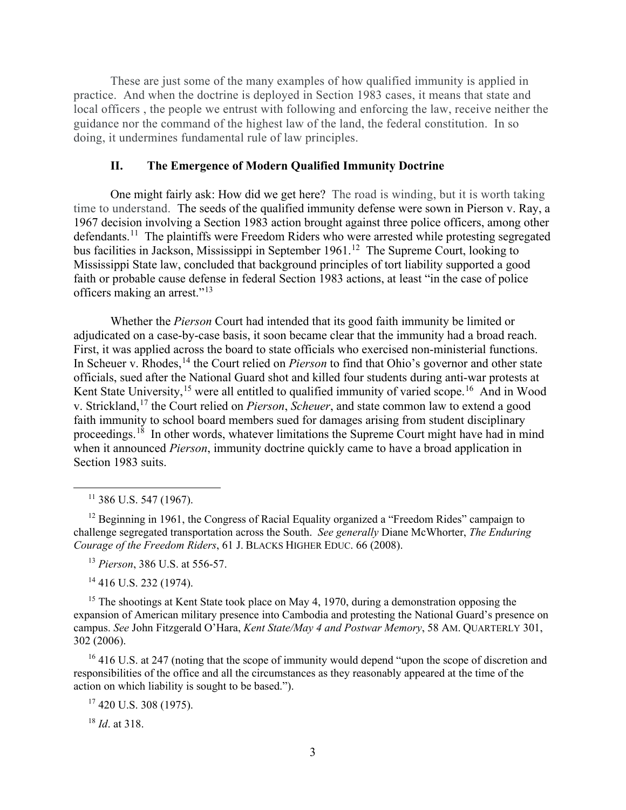These are just some of the many examples of how qualified immunity is applied in practice. And when the doctrine is deployed in Section 1983 cases, it means that state and local officers , the people we entrust with following and enforcing the law, receive neither the guidance nor the command of the highest law of the land, the federal constitution. In so doing, it undermines fundamental rule of law principles.

#### **II. The Emergence of Modern Qualified Immunity Doctrine**

One might fairly ask: How did we get here? The road is winding, but it is worth taking time to understand. The seeds of the qualified immunity defense were sown in Pierson v. Ray, a 1967 decision involving a Section 1983 action brought against three police officers, among other defendants.<sup>11</sup> The plaintiffs were Freedom Riders who were arrested while protesting segregated bus facilities in Jackson, Mississippi in September 1961.<sup>[12](#page-3-1)</sup> The Supreme Court, looking to Mississippi State law, concluded that background principles of tort liability supported a good faith or probable cause defense in federal Section 1983 actions, at least "in the case of police officers making an arrest."[13](#page-3-2)

Whether the *Pierson* Court had intended that its good faith immunity be limited or adjudicated on a case-by-case basis, it soon became clear that the immunity had a broad reach. First, it was applied across the board to state officials who exercised non-ministerial functions. In Scheuer v. Rhodes,<sup>[14](#page-3-3)</sup> the Court relied on *Pierson* to find that Ohio's governor and other state officials, sued after the National Guard shot and killed four students during anti-war protests at Kent State University,<sup>[15](#page-3-4)</sup> were all entitled to qualified immunity of varied scope.<sup>[16](#page-3-5)</sup> And in Wood v. Strickland,[17](#page-3-6) the Court relied on *Pierson*, *Scheuer*, and state common law to extend a good faith immunity to school board members sued for damages arising from student disciplinary proceedings.<sup>[18](#page-3-7)</sup> In other words, whatever limitations the Supreme Court might have had in mind when it announced *Pierson*, immunity doctrine quickly came to have a broad application in Section 1983 suits.

 $11$  386 U.S. 547 (1967).

<span id="page-3-1"></span><span id="page-3-0"></span> $12$  Beginning in 1961, the Congress of Racial Equality organized a "Freedom Rides" campaign to challenge segregated transportation across the South. *See generally* Diane McWhorter, *The Enduring Courage of the Freedom Riders*, 61 J. BLACKS HIGHER EDUC. 66 (2008).

<sup>13</sup> *Pierson*, 386 U.S. at 556-57.

<sup>14</sup> 416 U.S. 232 (1974).

<span id="page-3-4"></span><span id="page-3-3"></span><span id="page-3-2"></span><sup>15</sup> The shootings at Kent State took place on May 4, 1970, during a demonstration opposing the expansion of American military presence into Cambodia and protesting the National Guard's presence on campus. *See* John Fitzgerald O'Hara, *Kent State/May 4 and Postwar Memory*, 58 AM. QUARTERLY 301, 302 (2006).

<span id="page-3-6"></span><span id="page-3-5"></span><sup>16</sup> 416 U.S. at 247 (noting that the scope of immunity would depend "upon the scope of discretion and responsibilities of the office and all the circumstances as they reasonably appeared at the time of the action on which liability is sought to be based.").

 $17$  420 U.S. 308 (1975).

<span id="page-3-7"></span><sup>18</sup> *Id*. at 318.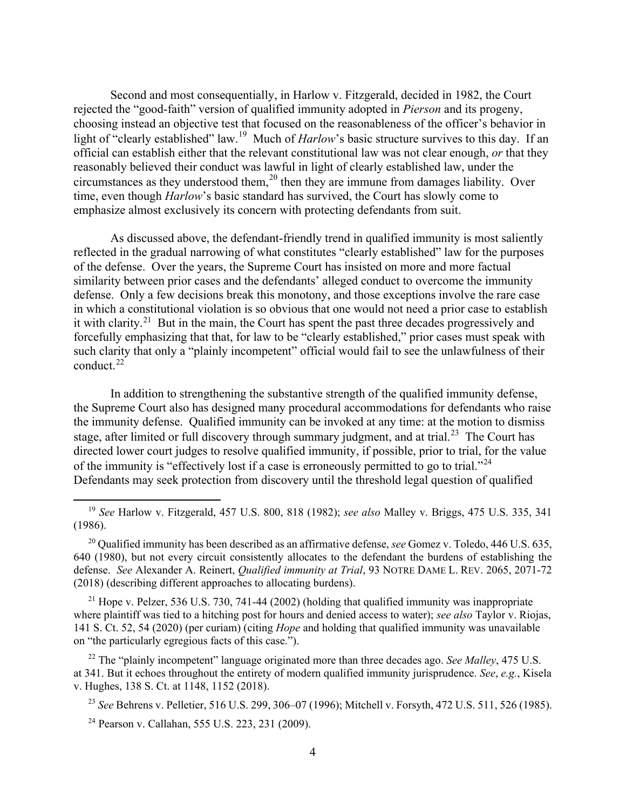Second and most consequentially, in Harlow v. Fitzgerald, decided in 1982, the Court rejected the "good-faith" version of qualified immunity adopted in *Pierson* and its progeny, choosing instead an objective test that focused on the reasonableness of the officer's behavior in light of "clearly established" law.<sup>19</sup> Much of *Harlow*'s basic structure survives to this day. If an official can establish either that the relevant constitutional law was not clear enough, *or* that they reasonably believed their conduct was lawful in light of clearly established law, under the circumstances as they understood them,<sup>[20](#page-4-1)</sup> then they are immune from damages liability. Over time, even though *Harlow*'s basic standard has survived, the Court has slowly come to emphasize almost exclusively its concern with protecting defendants from suit.

As discussed above, the defendant-friendly trend in qualified immunity is most saliently reflected in the gradual narrowing of what constitutes "clearly established" law for the purposes of the defense. Over the years, the Supreme Court has insisted on more and more factual similarity between prior cases and the defendants' alleged conduct to overcome the immunity defense. Only a few decisions break this monotony, and those exceptions involve the rare case in which a constitutional violation is so obvious that one would not need a prior case to establish it with clarity.<sup>[21](#page-4-2)</sup> But in the main, the Court has spent the past three decades progressively and forcefully emphasizing that that, for law to be "clearly established," prior cases must speak with such clarity that only a "plainly incompetent" official would fail to see the unlawfulness of their conduct. $^{22}$  $^{22}$  $^{22}$ 

In addition to strengthening the substantive strength of the qualified immunity defense, the Supreme Court also has designed many procedural accommodations for defendants who raise the immunity defense. Qualified immunity can be invoked at any time: at the motion to dismiss stage, after limited or full discovery through summary judgment, and at trial.<sup>[23](#page-4-4)</sup> The Court has directed lower court judges to resolve qualified immunity, if possible, prior to trial, for the value of the immunity is "effectively lost if a case is erroneously permitted to go to trial."<sup>[24](#page-4-5)</sup> Defendants may seek protection from discovery until the threshold legal question of qualified

<span id="page-4-1"></span><sup>20</sup> Qualified immunity has been described as an affirmative defense, *see* Gomez v. Toledo, 446 U.S. 635, 640 (1980), but not every circuit consistently allocates to the defendant the burdens of establishing the defense. *See* Alexander A. Reinert, *Qualified immunity at Trial*, 93 NOTRE DAME L. REV. 2065, 2071-72 (2018) (describing different approaches to allocating burdens).

<span id="page-4-2"></span> $^{21}$  Hope v. Pelzer, 536 U.S. 730, 741-44 (2002) (holding that qualified immunity was inappropriate where plaintiff was tied to a hitching post for hours and denied access to water); *see also* Taylor v. Riojas, 141 S. Ct. 52, 54 (2020) (per curiam) (citing *Hope* and holding that qualified immunity was unavailable on "the particularly egregious facts of this case.").

<span id="page-4-4"></span><span id="page-4-3"></span><sup>22</sup> The "plainly incompetent" language originated more than three decades ago. *See Malley*, 475 U.S. at 341. But it echoes throughout the entirety of modern qualified immunity jurisprudence. *See*, *e.g.*, Kisela v. Hughes, 138 S. Ct. at 1148, 1152 (2018).

<sup>23</sup> *See* Behrens v. Pelletier, 516 U.S. 299, 306–07 (1996); Mitchell v. Forsyth, 472 U.S. 511, 526 (1985).

<span id="page-4-5"></span><sup>24</sup> Pearson v. Callahan, 555 U.S. 223, 231 (2009).

<span id="page-4-0"></span><sup>19</sup> *See* Harlow v. Fitzgerald, 457 U.S. 800, 818 (1982); *see also* Malley v. Briggs, 475 U.S. 335, 341 (1986).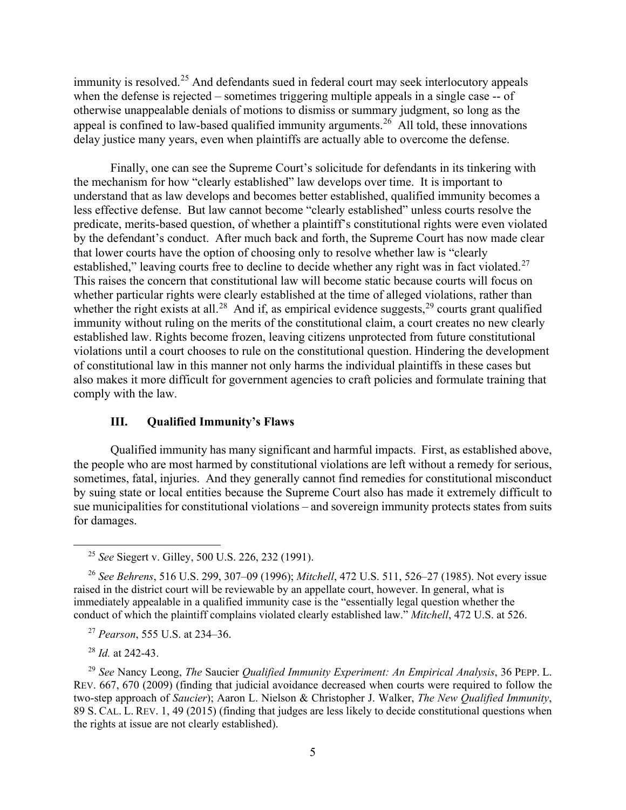immunity is resolved.<sup>[25](#page-5-0)</sup> And defendants sued in federal court may seek interlocutory appeals when the defense is rejected – sometimes triggering multiple appeals in a single case -- of otherwise unappealable denials of motions to dismiss or summary judgment, so long as the appeal is confined to law-based qualified immunity arguments.<sup>[26](#page-5-1)</sup> All told, these innovations delay justice many years, even when plaintiffs are actually able to overcome the defense.

Finally, one can see the Supreme Court's solicitude for defendants in its tinkering with the mechanism for how "clearly established" law develops over time. It is important to understand that as law develops and becomes better established, qualified immunity becomes a less effective defense. But law cannot become "clearly established" unless courts resolve the predicate, merits-based question, of whether a plaintiff's constitutional rights were even violated by the defendant's conduct. After much back and forth, the Supreme Court has now made clear that lower courts have the option of choosing only to resolve whether law is "clearly established," leaving courts free to decline to decide whether any right was in fact violated.<sup>[27](#page-5-2)</sup> This raises the concern that constitutional law will become static because courts will focus on whether particular rights were clearly established at the time of alleged violations, rather than whether the right exists at all.<sup>[28](#page-5-3)</sup> And if, as empirical evidence suggests,<sup>[29](#page-5-4)</sup> courts grant qualified immunity without ruling on the merits of the constitutional claim, a court creates no new clearly established law. Rights become frozen, leaving citizens unprotected from future constitutional violations until a court chooses to rule on the constitutional question. Hindering the development of constitutional law in this manner not only harms the individual plaintiffs in these cases but also makes it more difficult for government agencies to craft policies and formulate training that comply with the law.

# **III. Qualified Immunity's Flaws**

Qualified immunity has many significant and harmful impacts. First, as established above, the people who are most harmed by constitutional violations are left without a remedy for serious, sometimes, fatal, injuries. And they generally cannot find remedies for constitutional misconduct by suing state or local entities because the Supreme Court also has made it extremely difficult to sue municipalities for constitutional violations – and sovereign immunity protects states from suits for damages.

<sup>27</sup> *Pearson*, 555 U.S. at 234–36.

<sup>28</sup> *Id.* at 242-43.

<sup>25</sup> *See* Siegert v. Gilley, 500 U.S. 226, 232 (1991).

<span id="page-5-1"></span><span id="page-5-0"></span><sup>26</sup> *See Behrens*, 516 U.S. 299, 307–09 (1996); *Mitchell*, 472 U.S. 511, 526–27 (1985). Not every issue raised in the district court will be reviewable by an appellate court, however. In general, what is immediately appealable in a qualified immunity case is the "essentially legal question whether the conduct of which the plaintiff complains violated clearly established law." *Mitchell*, 472 U.S. at 526.

<span id="page-5-4"></span><span id="page-5-3"></span><span id="page-5-2"></span><sup>29</sup> *See* Nancy Leong, *The* Saucier *Qualified Immunity Experiment: An Empirical Analysis*, 36 PEPP. L. REV. 667, 670 (2009) (finding that judicial avoidance decreased when courts were required to follow the two-step approach of *Saucier*); Aaron L. Nielson & Christopher J. Walker, *The New Qualified Immunity*, 89 S. CAL. L. REV. 1, 49 (2015) (finding that judges are less likely to decide constitutional questions when the rights at issue are not clearly established).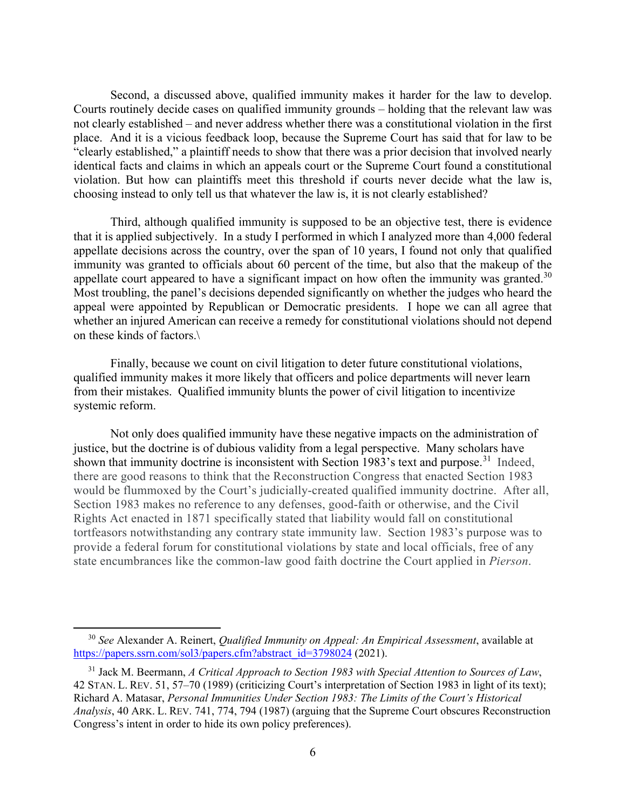Second, a discussed above, qualified immunity makes it harder for the law to develop. Courts routinely decide cases on qualified immunity grounds – holding that the relevant law was not clearly established – and never address whether there was a constitutional violation in the first place. And it is a vicious feedback loop, because the Supreme Court has said that for law to be "clearly established," a plaintiff needs to show that there was a prior decision that involved nearly identical facts and claims in which an appeals court or the Supreme Court found a constitutional violation. But how can plaintiffs meet this threshold if courts never decide what the law is, choosing instead to only tell us that whatever the law is, it is not clearly established?

Third, although qualified immunity is supposed to be an objective test, there is evidence that it is applied subjectively. In a study I performed in which I analyzed more than 4,000 federal appellate decisions across the country, over the span of 10 years, I found not only that qualified immunity was granted to officials about 60 percent of the time, but also that the makeup of the appellate court appeared to have a significant impact on how often the immunity was granted.<sup>[30](#page-6-0)</sup> Most troubling, the panel's decisions depended significantly on whether the judges who heard the appeal were appointed by Republican or Democratic presidents. I hope we can all agree that whether an injured American can receive a remedy for constitutional violations should not depend on these kinds of factors.\

Finally, because we count on civil litigation to deter future constitutional violations, qualified immunity makes it more likely that officers and police departments will never learn from their mistakes. Qualified immunity blunts the power of civil litigation to incentivize systemic reform.

Not only does qualified immunity have these negative impacts on the administration of justice, but the doctrine is of dubious validity from a legal perspective. Many scholars have shown that immunity doctrine is inconsistent with Section 1983's text and purpose.<sup>31</sup> Indeed, there are good reasons to think that the Reconstruction Congress that enacted Section 1983 would be flummoxed by the Court's judicially-created qualified immunity doctrine. After all, Section 1983 makes no reference to any defenses, good-faith or otherwise, and the Civil Rights Act enacted in 1871 specifically stated that liability would fall on constitutional tortfeasors notwithstanding any contrary state immunity law. Section 1983's purpose was to provide a federal forum for constitutional violations by state and local officials, free of any state encumbrances like the common-law good faith doctrine the Court applied in *Pierson*.

<span id="page-6-0"></span><sup>30</sup> *See* Alexander A. Reinert, *Qualified Immunity on Appeal: An Empirical Assessment*, available at [https://papers.ssrn.com/sol3/papers.cfm?abstract\\_id=3798024](https://papers.ssrn.com/sol3/papers.cfm?abstract_id=3798024) (2021).

<span id="page-6-1"></span><sup>31</sup> Jack M. Beermann, *A Critical Approach to Section 1983 with Special Attention to Sources of Law*, 42 STAN. L. REV. 51, 57–70 (1989) (criticizing Court's interpretation of Section 1983 in light of its text); Richard A. Matasar, *Personal Immunities Under Section 1983: The Limits of the Court's Historical Analysis*, 40 ARK. L. REV. 741, 774, 794 (1987) (arguing that the Supreme Court obscures Reconstruction Congress's intent in order to hide its own policy preferences).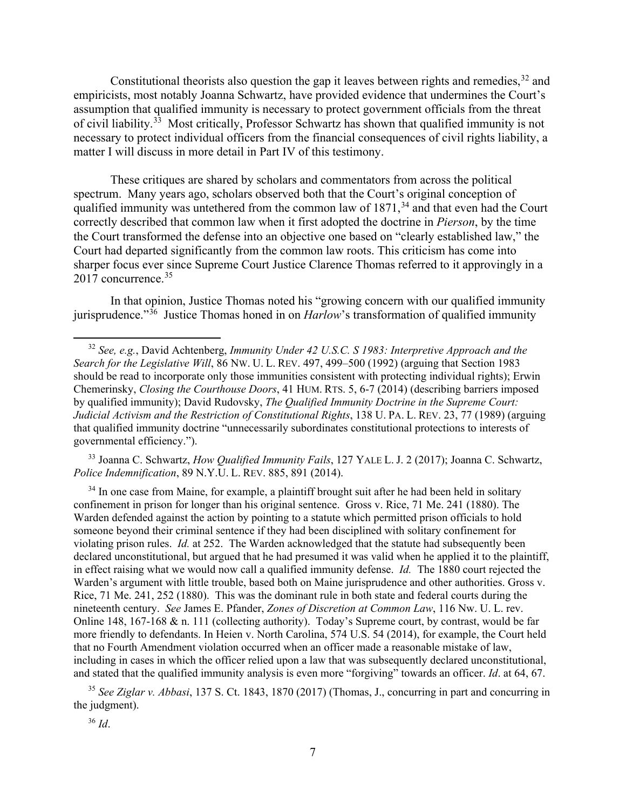Constitutional theorists also question the gap it leaves between rights and remedies,  $32$  and empiricists, most notably Joanna Schwartz, have provided evidence that undermines the Court's assumption that qualified immunity is necessary to protect government officials from the threat of civil liability.[33](#page-7-1) Most critically, Professor Schwartz has shown that qualified immunity is not necessary to protect individual officers from the financial consequences of civil rights liability, a matter I will discuss in more detail in Part IV of this testimony.

These critiques are shared by scholars and commentators from across the political spectrum. Many years ago, scholars observed both that the Court's original conception of qualified immunity was untethered from the common law of  $1871<sup>34</sup>$  $1871<sup>34</sup>$  $1871<sup>34</sup>$  and that even had the Court correctly described that common law when it first adopted the doctrine in *Pierson*, by the time the Court transformed the defense into an objective one based on "clearly established law," the Court had departed significantly from the common law roots. This criticism has come into sharper focus ever since Supreme Court Justice Clarence Thomas referred to it approvingly in a 2017 concurrence. [35](#page-7-3)

In that opinion, Justice Thomas noted his "growing concern with our qualified immunity jurisprudence."[36](#page-7-4) Justice Thomas honed in on *Harlow*'s transformation of qualified immunity

<span id="page-7-1"></span><sup>33</sup> Joanna C. Schwartz, *How Qualified Immunity Fails*, 127 YALE L. J. 2 (2017); Joanna C. Schwartz, *Police Indemnification*, 89 N.Y.U. L. REV. 885, 891 (2014).

<span id="page-7-2"></span> $34$  In one case from Maine, for example, a plaintiff brought suit after he had been held in solitary confinement in prison for longer than his original sentence. Gross v. Rice, 71 Me. 241 (1880). The Warden defended against the action by pointing to a statute which permitted prison officials to hold someone beyond their criminal sentence if they had been disciplined with solitary confinement for violating prison rules. *Id.* at 252. The Warden acknowledged that the statute had subsequently been declared unconstitutional, but argued that he had presumed it was valid when he applied it to the plaintiff, in effect raising what we would now call a qualified immunity defense. *Id.* The 1880 court rejected the Warden's argument with little trouble, based both on Maine jurisprudence and other authorities. Gross v. Rice, 71 Me. 241, 252 (1880). This was the dominant rule in both state and federal courts during the nineteenth century. *See* James E. Pfander, *Zones of Discretion at Common Law*, 116 Nw. U. L. rev. Online 148, 167-168 & n. 111 (collecting authority). Today's Supreme court, by contrast, would be far more friendly to defendants. In Heien v. North Carolina, 574 U.S. 54 (2014), for example, the Court held that no Fourth Amendment violation occurred when an officer made a reasonable mistake of law, including in cases in which the officer relied upon a law that was subsequently declared unconstitutional, and stated that the qualified immunity analysis is even more "forgiving" towards an officer. *Id*. at 64, 67.

<span id="page-7-4"></span><span id="page-7-3"></span><sup>35</sup> *See Ziglar v. Abbasi*, 137 S. Ct. 1843, 1870 (2017) (Thomas, J., concurring in part and concurring in the judgment).

<sup>36</sup> *Id*.

<span id="page-7-0"></span><sup>32</sup> *See, e.g.*, David Achtenberg, *Immunity Under 42 U.S.C. S 1983: Interpretive Approach and the Search for the Legislative Will*, 86 NW. U. L. REV. 497, 499–500 (1992) (arguing that Section 1983 should be read to incorporate only those immunities consistent with protecting individual rights); Erwin Chemerinsky, *Closing the Courthouse Doors*, 41 HUM. RTS. 5, 6-7 (2014) (describing barriers imposed by qualified immunity); David Rudovsky, *The Qualified Immunity Doctrine in the Supreme Court: Judicial Activism and the Restriction of Constitutional Rights*, 138 U. PA. L. REV. 23, 77 (1989) (arguing that qualified immunity doctrine "unnecessarily subordinates constitutional protections to interests of governmental efficiency.").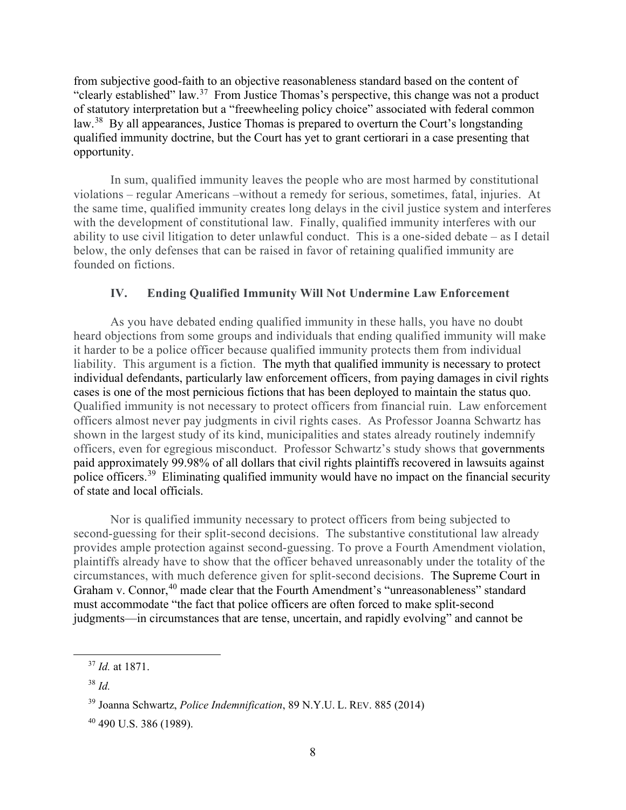from subjective good-faith to an objective reasonableness standard based on the content of "clearly established" law.[37](#page-8-0) From Justice Thomas's perspective, this change was not a product of statutory interpretation but a "freewheeling policy choice" associated with federal common law.<sup>38</sup> By all appearances, Justice Thomas is prepared to overturn the Court's longstanding qualified immunity doctrine, but the Court has yet to grant certiorari in a case presenting that opportunity.

In sum, qualified immunity leaves the people who are most harmed by constitutional violations – regular Americans –without a remedy for serious, sometimes, fatal, injuries. At the same time, qualified immunity creates long delays in the civil justice system and interferes with the development of constitutional law. Finally, qualified immunity interferes with our ability to use civil litigation to deter unlawful conduct. This is a one-sided debate – as I detail below, the only defenses that can be raised in favor of retaining qualified immunity are founded on fictions.

# **IV. Ending Qualified Immunity Will Not Undermine Law Enforcement**

As you have debated ending qualified immunity in these halls, you have no doubt heard objections from some groups and individuals that ending qualified immunity will make it harder to be a police officer because qualified immunity protects them from individual liability. This argument is a fiction. The myth that qualified immunity is necessary to protect individual defendants, particularly law enforcement officers, from paying damages in civil rights cases is one of the most pernicious fictions that has been deployed to maintain the status quo. Qualified immunity is not necessary to protect officers from financial ruin. Law enforcement officers almost never pay judgments in civil rights cases. As Professor Joanna Schwartz has shown in the largest study of its kind, municipalities and states already routinely indemnify officers, even for egregious misconduct. Professor Schwartz's study shows that governments paid approximately 99.98% of all dollars that civil rights plaintiffs recovered in lawsuits against police officers.<sup>[39](#page-8-2)</sup> Eliminating qualified immunity would have no impact on the financial security of state and local officials.

Nor is qualified immunity necessary to protect officers from being subjected to second-guessing for their split-second decisions. The substantive constitutional law already provides ample protection against second-guessing. To prove a Fourth Amendment violation, plaintiffs already have to show that the officer behaved unreasonably under the totality of the circumstances, with much deference given for split-second decisions. The Supreme Court in Graham v. Connor,<sup>[40](#page-8-3)</sup> made clear that the Fourth Amendment's "unreasonableness" standard must accommodate "the fact that police officers are often forced to make split‐second judgments—in circumstances that are tense, uncertain, and rapidly evolving" and cannot be

<span id="page-8-0"></span><sup>37</sup> *Id.* at 1871.

<span id="page-8-1"></span><sup>38</sup> *Id.*

<span id="page-8-2"></span><sup>39</sup> Joanna Schwartz, *Police Indemnification*, 89 N.Y.U. L. REV. 885 (2014)

<span id="page-8-3"></span> $40$  490 U.S. 386 (1989).